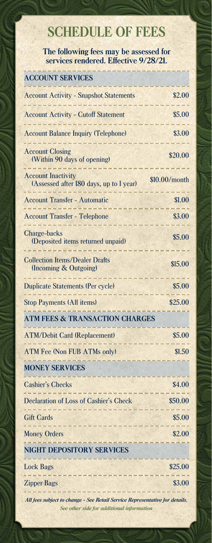## **SCHEDULE OF FEES**

**The following fees may be assessed for services rendered. Effective 9/28/21.**

| <b>ACCOUNT SERVICES</b>                                                                                                  |               |
|--------------------------------------------------------------------------------------------------------------------------|---------------|
| <b>Account Activity - Snapshot Statements</b>                                                                            | \$2.00        |
| <b>Account Activity - Cutoff Statement</b><br>-----------------                                                          | \$5.00        |
| <b>Account Balance Inquiry (Telephone)</b>                                                                               | \$3.00        |
| <b>Account Closing</b><br>(Within 90 days of opening)                                                                    | \$20.00       |
| <b>Account Inactivity</b><br>(Assessed after 180 days, up to 1 year)                                                     | \$10.00/month |
| <b>Account Transfer - Automatic</b><br><b>Martin College (III)</b>                                                       | \$1.00        |
| <b>Account Transfer - Telephone</b>                                                                                      | \$3.00        |
| Charge-backs<br>(Deposited items returned unpaid)                                                                        | \$5.00        |
| <b>Collection Items/Dealer Drafts</b><br>(Incoming & Outgoing)<br>فالمستحقق والمتواطئ                                    | \$15.00       |
| <b>Duplicate Statements (Per cycle)</b><br><u>.</u>                                                                      | \$5.00        |
| <b>Stop Payments (All items)</b>                                                                                         | \$25.00       |
| <b>ATM FEES &amp; TRANSACTION CHARGES</b>                                                                                |               |
| <b>ATM/Debit Card (Replacement)</b>                                                                                      | \$5.00        |
| <b>ATM Fee (Non FUB ATMs only)</b>                                                                                       | \$1.50        |
| <b>MONEY SERVICES</b>                                                                                                    |               |
| <b>Cashier's Checks</b>                                                                                                  | \$4.00        |
| <b>Declaration of Loss of Cashier's Check</b><br><b>Contract Contract</b>                                                | \$50.00       |
| <b>Gift Cards</b>                                                                                                        | \$5.00        |
| <b>Money Orders</b>                                                                                                      | \$2.00        |
| <b>NIGHT DEPOSITORY SERVICES</b>                                                                                         |               |
| <b>Lock Bags</b>                                                                                                         | \$25.00       |
| <b>Zipper Bags</b>                                                                                                       | \$3.00        |
| All fees subject to change - See Retail Service Representative for details.<br>See other side for additional information |               |